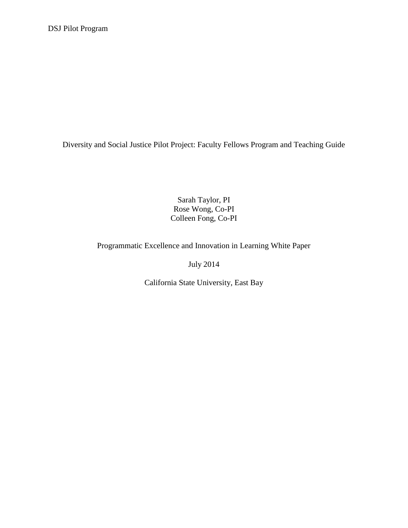Diversity and Social Justice Pilot Project: Faculty Fellows Program and Teaching Guide

Sarah Taylor, PI Rose Wong, Co-PI Colleen Fong, Co-PI

Programmatic Excellence and Innovation in Learning White Paper

July 2014

California State University, East Bay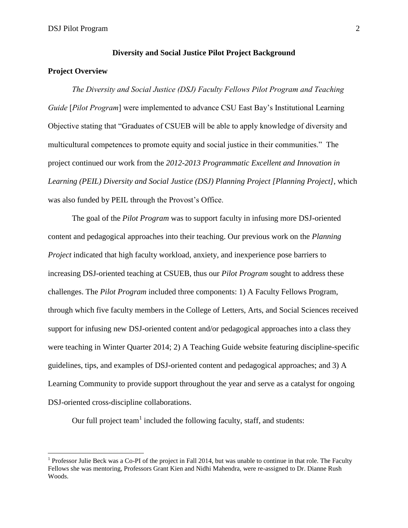### **Diversity and Social Justice Pilot Project Background**

# **Project Overview**

 $\overline{a}$ 

*The Diversity and Social Justice (DSJ) Faculty Fellows Pilot Program and Teaching Guide* [*Pilot Program*] were implemented to advance CSU East Bay's Institutional Learning Objective stating that "Graduates of CSUEB will be able to apply knowledge of diversity and multicultural competences to promote equity and social justice in their communities." The project continued our work from the *2012-2013 Programmatic Excellent and Innovation in Learning (PEIL) Diversity and Social Justice (DSJ) Planning Project [Planning Project],* which was also funded by PEIL through the Provost's Office.

The goal of the *Pilot Program* was to support faculty in infusing more DSJ-oriented content and pedagogical approaches into their teaching. Our previous work on the *Planning Project* indicated that high faculty workload, anxiety, and inexperience pose barriers to increasing DSJ-oriented teaching at CSUEB, thus our *Pilot Program* sought to address these challenges. The *Pilot Program* included three components: 1) A Faculty Fellows Program, through which five faculty members in the College of Letters, Arts, and Social Sciences received support for infusing new DSJ-oriented content and/or pedagogical approaches into a class they were teaching in Winter Quarter 2014; 2) A Teaching Guide website featuring discipline-specific guidelines, tips, and examples of DSJ-oriented content and pedagogical approaches; and 3) A Learning Community to provide support throughout the year and serve as a catalyst for ongoing DSJ-oriented cross-discipline collaborations.

Our full project team<sup>1</sup> included the following faculty, staff, and students:

<sup>&</sup>lt;sup>1</sup> Professor Julie Beck was a Co-PI of the project in Fall 2014, but was unable to continue in that role. The Faculty Fellows she was mentoring, Professors Grant Kien and Nidhi Mahendra, were re-assigned to Dr. Dianne Rush Woods.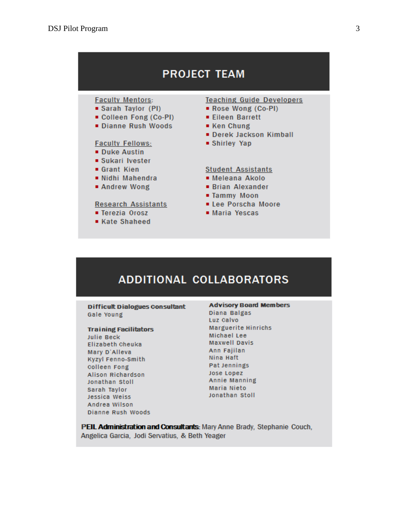# **PROJECT TEAM**

# **Faculty Mentors:**

- Sarah Taylor (PI)
- Colleen Fong (Co-PI)
- Dianne Rush Woods

## **Faculty Fellows:**

- **Duke Austin**
- **Sukari Ivester**
- Grant Kien
- Nidhi Mahendra
- Andrew Wong

#### **Research Assistants**

- Terezia Orosz
- Kate Shaheed

#### **Teaching Guide Developers**

- Rose Wong (Co-PI)
- Eileen Barrett
- Ken Chung
- Derek Jackson Kimball
- Shirley Yap

#### **Student Assistants**

- Meleana Akolo
- **Brian Alexander**
- Tammy Moon
- Lee Porscha Moore
- Maria Yescas

# **ADDITIONAL COLLABORATORS**

**Difficult Dialogues Consultant** Gale Young

#### **Training Facilitators**

**Julie Beck** Elizabeth Cheuka Mary D'Alleva Kyzyl Fenno-Smith Colleen Fong Alison Richardson Jonathan Stoll Sarah Taylor Jessica Weiss Andrea Wilson Dianne Rush Woods

#### **Advisory Board Members**

Diana Balgas Luz Calvo Marguerite Hinrichs Michael Lee **Maxwell Davis** Ann Fajilan Nina Haft Pat Jennings Jose Lopez **Annie Manning Maria Nieto** Jonathan Stoll

PEIL Administration and Consultants: Mary Anne Brady, Stephanie Couch, Angelica Garcia, Jodi Servatius, & Beth Yeager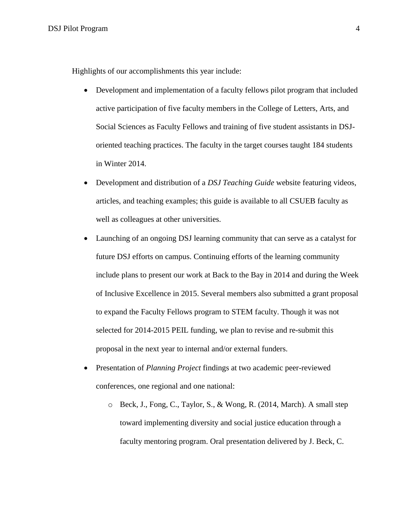Highlights of our accomplishments this year include:

- Development and implementation of a faculty fellows pilot program that included active participation of five faculty members in the College of Letters, Arts, and Social Sciences as Faculty Fellows and training of five student assistants in DSJoriented teaching practices. The faculty in the target courses taught 184 students in Winter 2014.
- Development and distribution of a *DSJ Teaching Guide* website featuring videos, articles, and teaching examples; this guide is available to all CSUEB faculty as well as colleagues at other universities.
- Launching of an ongoing DSJ learning community that can serve as a catalyst for future DSJ efforts on campus. Continuing efforts of the learning community include plans to present our work at Back to the Bay in 2014 and during the Week of Inclusive Excellence in 2015. Several members also submitted a grant proposal to expand the Faculty Fellows program to STEM faculty. Though it was not selected for 2014-2015 PEIL funding, we plan to revise and re-submit this proposal in the next year to internal and/or external funders.
- Presentation of *Planning Project* findings at two academic peer-reviewed conferences, one regional and one national:
	- o Beck, J., Fong, C., Taylor, S., & Wong, R. (2014, March). A small step toward implementing diversity and social justice education through a faculty mentoring program. Oral presentation delivered by J. Beck, C.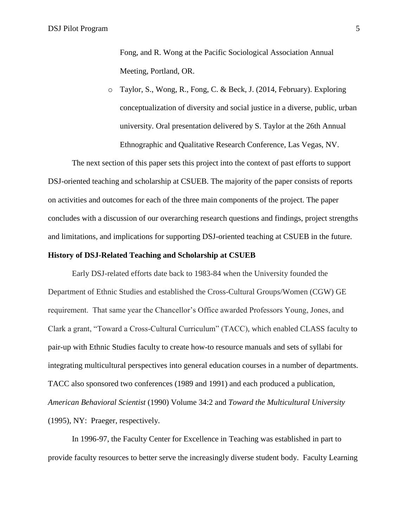o Taylor, S., Wong, R., Fong, C. & Beck, J. (2014, February). Exploring conceptualization of diversity and social justice in a diverse, public, urban university. Oral presentation delivered by S. Taylor at the 26th Annual Ethnographic and Qualitative Research Conference, Las Vegas, NV.

The next section of this paper sets this project into the context of past efforts to support DSJ-oriented teaching and scholarship at CSUEB. The majority of the paper consists of reports on activities and outcomes for each of the three main components of the project. The paper concludes with a discussion of our overarching research questions and findings, project strengths and limitations, and implications for supporting DSJ-oriented teaching at CSUEB in the future.

# **History of DSJ-Related Teaching and Scholarship at CSUEB**

Early DSJ-related efforts date back to 1983-84 when the University founded the Department of Ethnic Studies and established the Cross-Cultural Groups/Women (CGW) GE requirement. That same year the Chancellor's Office awarded Professors Young, Jones, and Clark a grant, "Toward a Cross-Cultural Curriculum" (TACC), which enabled CLASS faculty to pair-up with Ethnic Studies faculty to create how-to resource manuals and sets of syllabi for integrating multicultural perspectives into general education courses in a number of departments. TACC also sponsored two conferences (1989 and 1991) and each produced a publication, *American Behavioral Scientist* (1990) Volume 34:2 and *Toward the Multicultural University* (1995), NY: Praeger, respectively.

In 1996-97, the Faculty Center for Excellence in Teaching was established in part to provide faculty resources to better serve the increasingly diverse student body. Faculty Learning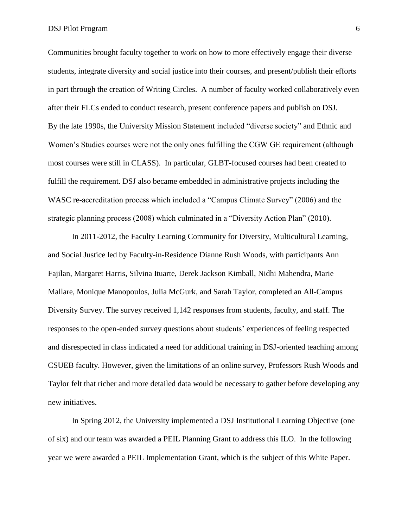Communities brought faculty together to work on how to more effectively engage their diverse students, integrate diversity and social justice into their courses, and present/publish their efforts in part through the creation of Writing Circles. A number of faculty worked collaboratively even after their FLCs ended to conduct research, present conference papers and publish on DSJ. By the late 1990s, the University Mission Statement included "diverse society" and Ethnic and Women's Studies courses were not the only ones fulfilling the CGW GE requirement (although most courses were still in CLASS). In particular, GLBT-focused courses had been created to fulfill the requirement. DSJ also became embedded in administrative projects including the WASC re-accreditation process which included a "Campus Climate Survey" (2006) and the strategic planning process (2008) which culminated in a "Diversity Action Plan" (2010).

In 2011-2012, the Faculty Learning Community for Diversity, Multicultural Learning, and Social Justice led by Faculty-in-Residence Dianne Rush Woods, with participants Ann Fajilan, Margaret Harris, Silvina Ituarte, Derek Jackson Kimball, Nidhi Mahendra, Marie Mallare, Monique Manopoulos, Julia McGurk, and Sarah Taylor, completed an All-Campus Diversity Survey. The survey received 1,142 responses from students, faculty, and staff. The responses to the open-ended survey questions about students' experiences of feeling respected and disrespected in class indicated a need for additional training in DSJ-oriented teaching among CSUEB faculty. However, given the limitations of an online survey, Professors Rush Woods and Taylor felt that richer and more detailed data would be necessary to gather before developing any new initiatives.

In Spring 2012, the University implemented a DSJ Institutional Learning Objective (one of six) and our team was awarded a PEIL Planning Grant to address this ILO. In the following year we were awarded a PEIL Implementation Grant, which is the subject of this White Paper.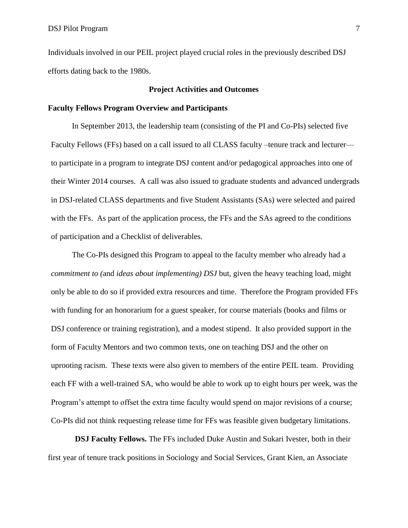Individuals involved in our PEIL project played crucial roles in the previously described DSJ efforts dating back to the 1980s.

# **Project Activities and Outcomes**

## **Faculty Fellows Program Overview and Participants**

In September 2013, the leadership team (consisting of the PI and Co-PIs) selected five Faculty Fellows (FFs) based on a call issued to all CLASS faculty –tenure track and lecturer to participate in a program to integrate DSJ content and/or pedagogical approaches into one of their Winter 2014 courses. A call was also issued to graduate students and advanced undergrads in DSJ-related CLASS departments and five Student Assistants (SAs) were selected and paired with the FFs. As part of the application process, the FFs and the SAs agreed to the conditions of participation and a Checklist of deliverables.

The Co-PIs designed this Program to appeal to the faculty member who already had a *commitment to (*and *ideas about implementing) DSJ* but, given the heavy teaching load, might only be able to do so if provided extra resources and time. Therefore the Program provided FFs with funding for an honorarium for a guest speaker, for course materials (books and films or DSJ conference or training registration), and a modest stipend. It also provided support in the form of Faculty Mentors and two common texts, one on teaching DSJ and the other on uprooting racism. These texts were also given to members of the entire PEIL team. Providing each FF with a well-trained SA, who would be able to work up to eight hours per week, was the Program's attempt to offset the extra time faculty would spend on major revisions of a course; Co-PIs did not think requesting release time for FFs was feasible given budgetary limitations.

**DSJ Faculty Fellows.** The FFs included Duke Austin and Sukari Ivester, both in their first year of tenure track positions in Sociology and Social Services, Grant Kien, an Associate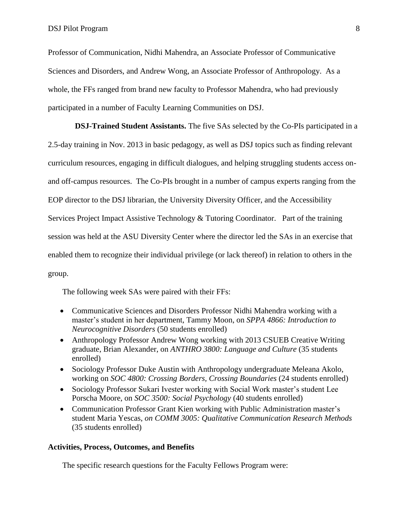Professor of Communication, Nidhi Mahendra, an Associate Professor of Communicative Sciences and Disorders, and Andrew Wong, an Associate Professor of Anthropology. As a whole, the FFs ranged from brand new faculty to Professor Mahendra, who had previously participated in a number of Faculty Learning Communities on DSJ.

**DSJ-Trained Student Assistants.** The five SAs selected by the Co-PIs participated in a 2.5-day training in Nov. 2013 in basic pedagogy, as well as DSJ topics such as finding relevant curriculum resources, engaging in difficult dialogues, and helping struggling students access onand off-campus resources. The Co-PIs brought in a number of campus experts ranging from the EOP director to the DSJ librarian, the University Diversity Officer, and the Accessibility Services Project Impact Assistive Technology & Tutoring Coordinator.Part of the training session was held at the ASU Diversity Center where the director led the SAs in an exercise that enabled them to recognize their individual privilege (or lack thereof) in relation to others in the group.

The following week SAs were paired with their FFs:

- Communicative Sciences and Disorders Professor Nidhi Mahendra working with a master's student in her department, Tammy Moon, on *SPPA 4866: Introduction to Neurocognitive Disorders* (50 students enrolled)
- Anthropology Professor Andrew Wong working with 2013 CSUEB Creative Writing graduate, Brian Alexander, on *ANTHRO 3800: Language and Culture* (35 students enrolled)
- Sociology Professor Duke Austin with Anthropology undergraduate Meleana Akolo, working on *SOC 4800: Crossing Borders, Crossing Boundaries* (24 students enrolled)
- Sociology Professor Sukari Ivester working with Social Work master's student Lee Porscha Moore, on *SOC 3500: Social Psychology* (40 students enrolled)
- Communication Professor Grant Kien working with Public Administration master's student Maria Yescas, *on COMM 3005: Qualitative Communication Research Methods* (35 students enrolled)

# **Activities, Process, Outcomes, and Benefits**

The specific research questions for the Faculty Fellows Program were: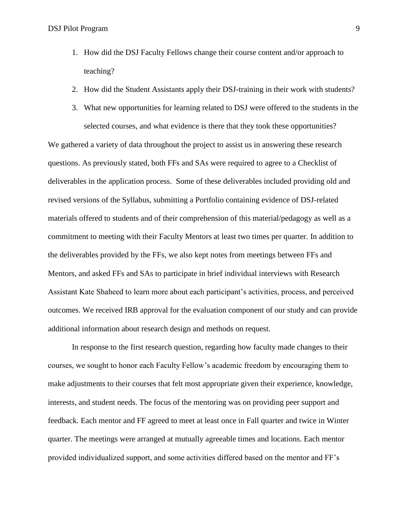- 1. How did the DSJ Faculty Fellows change their course content and/or approach to teaching?
- 2. How did the Student Assistants apply their DSJ-training in their work with students?
- 3. What new opportunities for learning related to DSJ were offered to the students in the selected courses, and what evidence is there that they took these opportunities?

We gathered a variety of data throughout the project to assist us in answering these research questions. As previously stated, both FFs and SAs were required to agree to a Checklist of deliverables in the application process. Some of these deliverables included providing old and revised versions of the Syllabus, submitting a Portfolio containing evidence of DSJ-related materials offered to students and of their comprehension of this material/pedagogy as well as a commitment to meeting with their Faculty Mentors at least two times per quarter. In addition to the deliverables provided by the FFs, we also kept notes from meetings between FFs and Mentors, and asked FFs and SAs to participate in brief individual interviews with Research Assistant Kate Shaheed to learn more about each participant's activities, process, and perceived outcomes. We received IRB approval for the evaluation component of our study and can provide additional information about research design and methods on request.

In response to the first research question, regarding how faculty made changes to their courses, we sought to honor each Faculty Fellow's academic freedom by encouraging them to make adjustments to their courses that felt most appropriate given their experience, knowledge, interests, and student needs. The focus of the mentoring was on providing peer support and feedback. Each mentor and FF agreed to meet at least once in Fall quarter and twice in Winter quarter. The meetings were arranged at mutually agreeable times and locations. Each mentor provided individualized support, and some activities differed based on the mentor and FF's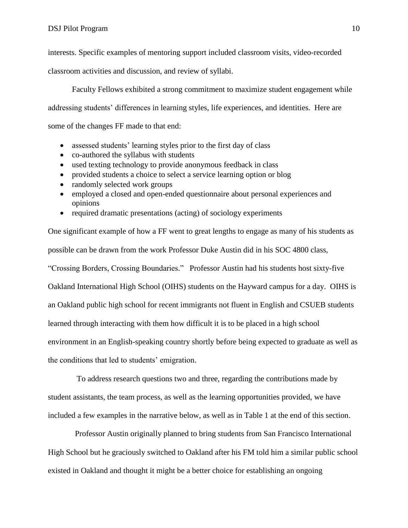interests. Specific examples of mentoring support included classroom visits, video-recorded

classroom activities and discussion, and review of syllabi.

Faculty Fellows exhibited a strong commitment to maximize student engagement while addressing students' differences in learning styles, life experiences, and identities. Here are some of the changes FF made to that end:

- assessed students' learning styles prior to the first day of class
- co-authored the syllabus with students
- used texting technology to provide anonymous feedback in class
- provided students a choice to select a service learning option or blog
- randomly selected work groups
- employed a closed and open-ended questionnaire about personal experiences and opinions
- required dramatic presentations (acting) of sociology experiments

One significant example of how a FF went to great lengths to engage as many of his students as possible can be drawn from the work Professor Duke Austin did in his SOC 4800 class, "Crossing Borders, Crossing Boundaries." Professor Austin had his students host sixty-five Oakland International High School (OIHS) students on the Hayward campus for a day. OIHS is an Oakland public high school for recent immigrants not fluent in English and CSUEB students

learned through interacting with them how difficult it is to be placed in a high school

environment in an English-speaking country shortly before being expected to graduate as well as

the conditions that led to students' emigration.

To address research questions two and three, regarding the contributions made by student assistants, the team process, as well as the learning opportunities provided, we have included a few examples in the narrative below, as well as in Table 1 at the end of this section.

Professor Austin originally planned to bring students from San Francisco International High School but he graciously switched to Oakland after his FM told him a similar public school existed in Oakland and thought it might be a better choice for establishing an ongoing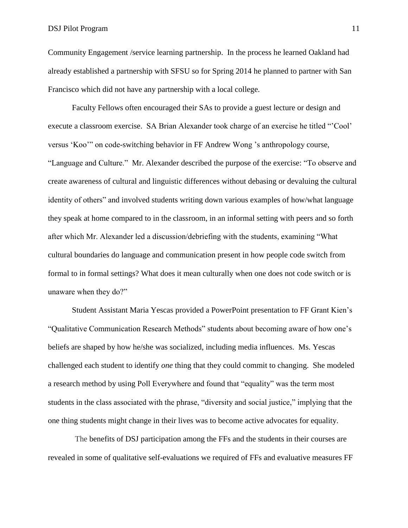Community Engagement /service learning partnership. In the process he learned Oakland had already established a partnership with SFSU so for Spring 2014 he planned to partner with San Francisco which did not have any partnership with a local college.

Faculty Fellows often encouraged their SAs to provide a guest lecture or design and execute a classroom exercise. SA Brian Alexander took charge of an exercise he titled "'Cool' versus 'Koo'" on code-switching behavior in FF Andrew Wong 's anthropology course, "Language and Culture." Mr. Alexander described the purpose of the exercise: "To observe and create awareness of cultural and linguistic differences without debasing or devaluing the cultural identity of others" and involved students writing down various examples of how/what language they speak at home compared to in the classroom, in an informal setting with peers and so forth after which Mr. Alexander led a discussion/debriefing with the students, examining "What cultural boundaries do language and communication present in how people code switch from formal to in formal settings? What does it mean culturally when one does not code switch or is unaware when they do?"

Student Assistant Maria Yescas provided a PowerPoint presentation to FF Grant Kien's "Qualitative Communication Research Methods" students about becoming aware of how one's beliefs are shaped by how he/she was socialized, including media influences. Ms. Yescas challenged each student to identify *one* thing that they could commit to changing. She modeled a research method by using Poll Everywhere and found that "equality" was the term most students in the class associated with the phrase, "diversity and social justice," implying that the one thing students might change in their lives was to become active advocates for equality.

The benefits of DSJ participation among the FFs and the students in their courses are revealed in some of qualitative self-evaluations we required of FFs and evaluative measures FF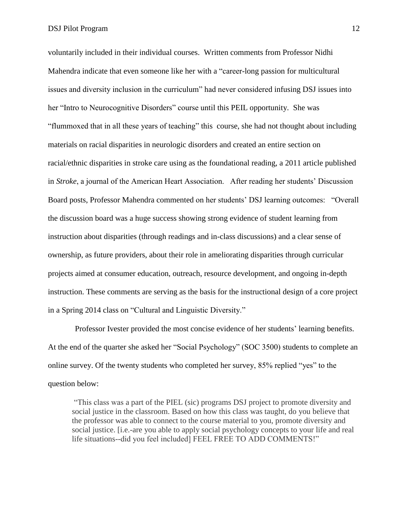voluntarily included in their individual courses. Written comments from Professor Nidhi Mahendra indicate that even someone like her with a "career-long passion for multicultural issues and diversity inclusion in the curriculum" had never considered infusing DSJ issues into her "Intro to Neurocognitive Disorders" course until this PEIL opportunity. She was "flummoxed that in all these years of teaching" this course, she had not thought about including materials on racial disparities in neurologic disorders and created an entire section on racial/ethnic disparities in stroke care using as the foundational reading, a 2011 article published in *Stroke*, a journal of the American Heart Association. After reading her students' Discussion Board posts, Professor Mahendra commented on her students' DSJ learning outcomes: "Overall the discussion board was a huge success showing strong evidence of student learning from instruction about disparities (through readings and in-class discussions) and a clear sense of ownership, as future providers, about their role in ameliorating disparities through curricular projects aimed at consumer education, outreach, resource development, and ongoing in-depth instruction. These comments are serving as the basis for the instructional design of a core project in a Spring 2014 class on "Cultural and Linguistic Diversity."

Professor Ivester provided the most concise evidence of her students' learning benefits. At the end of the quarter she asked her "Social Psychology" (SOC 3500) students to complete an online survey. Of the twenty students who completed her survey, 85% replied "yes" to the question below:

"This class was a part of the PIEL (sic) programs DSJ project to promote diversity and social justice in the classroom. Based on how this class was taught, do you believe that the professor was able to connect to the course material to you, promote diversity and social justice. [i.e.-are you able to apply social psychology concepts to your life and real life situations--did you feel included] FEEL FREE TO ADD COMMENTS!"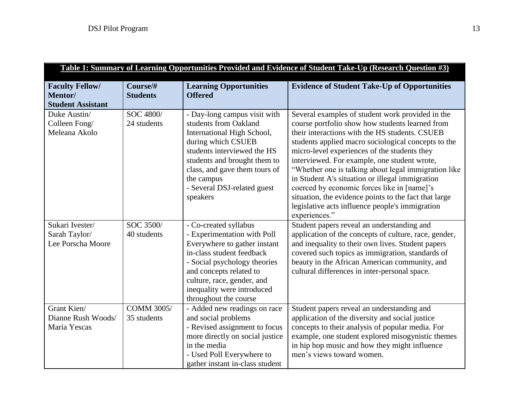| Table 1: Summary of Learning Opportunities Provided and Evidence of Student Take-Up (Research Question #3) |                                  |                                                                                                                                                                                                                                                                    |                                                                                                                                                                                                                                                                                                                                                                                                                                                                                                                                                                                                     |  |  |
|------------------------------------------------------------------------------------------------------------|----------------------------------|--------------------------------------------------------------------------------------------------------------------------------------------------------------------------------------------------------------------------------------------------------------------|-----------------------------------------------------------------------------------------------------------------------------------------------------------------------------------------------------------------------------------------------------------------------------------------------------------------------------------------------------------------------------------------------------------------------------------------------------------------------------------------------------------------------------------------------------------------------------------------------------|--|--|
| <b>Faculty Fellow/</b><br>Mentor/<br><b>Student Assistant</b>                                              | Course/#<br><b>Students</b>      | <b>Learning Opportunities</b><br><b>Offered</b>                                                                                                                                                                                                                    | <b>Evidence of Student Take-Up of Opportunities</b>                                                                                                                                                                                                                                                                                                                                                                                                                                                                                                                                                 |  |  |
| Duke Austin/<br>Colleen Fong/<br>Meleana Akolo                                                             | SOC 4800/<br>24 students         | - Day-long campus visit with<br>students from Oakland<br>International High School,<br>during which CSUEB<br>students interviewed the HS<br>students and brought them to<br>class, and gave them tours of<br>the campus<br>- Several DSJ-related guest<br>speakers | Several examples of student work provided in the<br>course portfolio show how students learned from<br>their interactions with the HS students. CSUEB<br>students applied macro sociological concepts to the<br>micro-level experiences of the students they<br>interviewed. For example, one student wrote,<br>"Whether one is talking about legal immigration like<br>in Student A's situation or illegal immigration<br>coerced by economic forces like in [name]'s<br>situation, the evidence points to the fact that large<br>legislative acts influence people's immigration<br>experiences." |  |  |
| Sukari Ivester/<br>Sarah Taylor/<br>Lee Porscha Moore                                                      | SOC 3500/<br>40 students         | - Co-created syllabus<br>- Experimentation with Poll<br>Everywhere to gather instant<br>in-class student feedback<br>- Social psychology theories<br>and concepts related to<br>culture, race, gender, and<br>inequality were introduced<br>throughout the course  | Student papers reveal an understanding and<br>application of the concepts of culture, race, gender,<br>and inequality to their own lives. Student papers<br>covered such topics as immigration, standards of<br>beauty in the African American community, and<br>cultural differences in inter-personal space.                                                                                                                                                                                                                                                                                      |  |  |
| Grant Kien/<br>Dianne Rush Woods/<br>Maria Yescas                                                          | <b>COMM 3005/</b><br>35 students | - Added new readings on race<br>and social problems<br>- Revised assignment to focus<br>more directly on social justice<br>in the media<br>- Used Poll Everywhere to<br>gather instant in-class student                                                            | Student papers reveal an understanding and<br>application of the diversity and social justice<br>concepts to their analysis of popular media. For<br>example, one student explored misogynistic themes<br>in hip hop music and how they might influence<br>men's views toward women.                                                                                                                                                                                                                                                                                                                |  |  |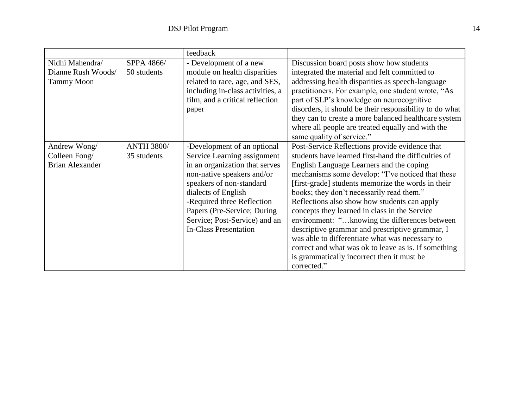|                        |                   | feedback                         |                                                         |
|------------------------|-------------------|----------------------------------|---------------------------------------------------------|
| Nidhi Mahendra/        | SPPA 4866/        | - Development of a new           | Discussion board posts show how students                |
| Dianne Rush Woods/     | 50 students       | module on health disparities     | integrated the material and felt committed to           |
| <b>Tammy Moon</b>      |                   | related to race, age, and SES,   | addressing health disparities as speech-language        |
|                        |                   | including in-class activities, a | practitioners. For example, one student wrote, "As      |
|                        |                   | film, and a critical reflection  | part of SLP's knowledge on neurocognitive               |
|                        |                   | paper                            | disorders, it should be their responsibility to do what |
|                        |                   |                                  | they can to create a more balanced healthcare system    |
|                        |                   |                                  | where all people are treated equally and with the       |
|                        |                   |                                  | same quality of service."                               |
| Andrew Wong/           | <b>ANTH 3800/</b> | -Development of an optional      | Post-Service Reflections provide evidence that          |
| Colleen Fong/          | 35 students       | Service Learning assignment      | students have learned first-hand the difficulties of    |
| <b>Brian Alexander</b> |                   | in an organization that serves   | English Language Learners and the coping                |
|                        |                   | non-native speakers and/or       | mechanisms some develop: "I've noticed that these       |
|                        |                   | speakers of non-standard         | [first-grade] students memorize the words in their      |
|                        |                   | dialects of English              | books; they don't necessarily read them."               |
|                        |                   | -Required three Reflection       | Reflections also show how students can apply            |
|                        |                   | Papers (Pre-Service; During      | concepts they learned in class in the Service           |
|                        |                   | Service; Post-Service) and an    | environment: "knowing the differences between           |
|                        |                   | <b>In-Class Presentation</b>     | descriptive grammar and prescriptive grammar, I         |
|                        |                   |                                  | was able to differentiate what was necessary to         |
|                        |                   |                                  | correct and what was ok to leave as is. If something    |
|                        |                   |                                  | is grammatically incorrect then it must be              |
|                        |                   |                                  | corrected."                                             |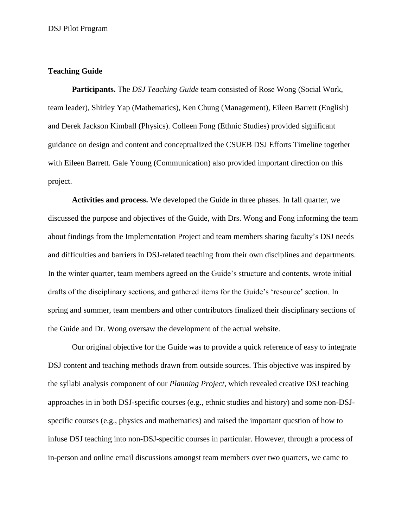# **Teaching Guide**

**Participants.** The *DSJ Teaching Guide* team consisted of Rose Wong (Social Work, team leader), Shirley Yap (Mathematics), Ken Chung (Management), Eileen Barrett (English) and Derek Jackson Kimball (Physics). Colleen Fong (Ethnic Studies) provided significant guidance on design and content and conceptualized the CSUEB DSJ Efforts Timeline together with Eileen Barrett. Gale Young (Communication) also provided important direction on this project.

**Activities and process.** We developed the Guide in three phases. In fall quarter, we discussed the purpose and objectives of the Guide, with Drs. Wong and Fong informing the team about findings from the Implementation Project and team members sharing faculty's DSJ needs and difficulties and barriers in DSJ-related teaching from their own disciplines and departments. In the winter quarter, team members agreed on the Guide's structure and contents, wrote initial drafts of the disciplinary sections, and gathered items for the Guide's 'resource' section. In spring and summer, team members and other contributors finalized their disciplinary sections of the Guide and Dr. Wong oversaw the development of the actual website.

Our original objective for the Guide was to provide a quick reference of easy to integrate DSJ content and teaching methods drawn from outside sources. This objective was inspired by the syllabi analysis component of our *Planning Project*, which revealed creative DSJ teaching approaches in in both DSJ-specific courses (e.g., ethnic studies and history) and some non-DSJspecific courses (e.g., physics and mathematics) and raised the important question of how to infuse DSJ teaching into non-DSJ-specific courses in particular. However, through a process of in-person and online email discussions amongst team members over two quarters, we came to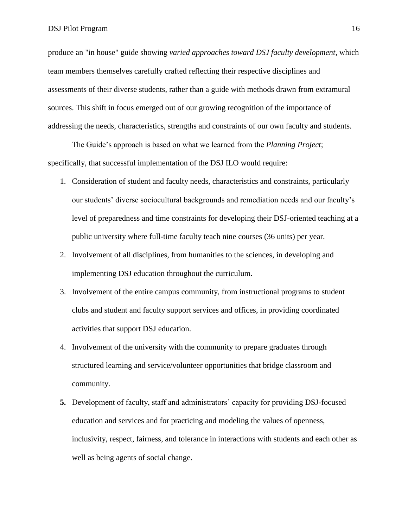produce an "in house" guide showing *varied approaches toward DSJ faculty development*, which team members themselves carefully crafted reflecting their respective disciplines and assessments of their diverse students, rather than a guide with methods drawn from extramural sources. This shift in focus emerged out of our growing recognition of the importance of addressing the needs, characteristics, strengths and constraints of our own faculty and students.

The Guide's approach is based on what we learned from the *Planning Project*; specifically, that successful implementation of the DSJ ILO would require:

- 1. Consideration of student and faculty needs, characteristics and constraints, particularly our students' diverse sociocultural backgrounds and remediation needs and our faculty's level of preparedness and time constraints for developing their DSJ-oriented teaching at a public university where full-time faculty teach nine courses (36 units) per year.
- 2. Involvement of all disciplines, from humanities to the sciences, in developing and implementing DSJ education throughout the curriculum.
- 3. Involvement of the entire campus community, from instructional programs to student clubs and student and faculty support services and offices, in providing coordinated activities that support DSJ education.
- 4. Involvement of the university with the community to prepare graduates through structured learning and service/volunteer opportunities that bridge classroom and community.
- **5.** Development of faculty, staff and administrators' capacity for providing DSJ-focused education and services and for practicing and modeling the values of openness, inclusivity, respect, fairness, and tolerance in interactions with students and each other as well as being agents of social change.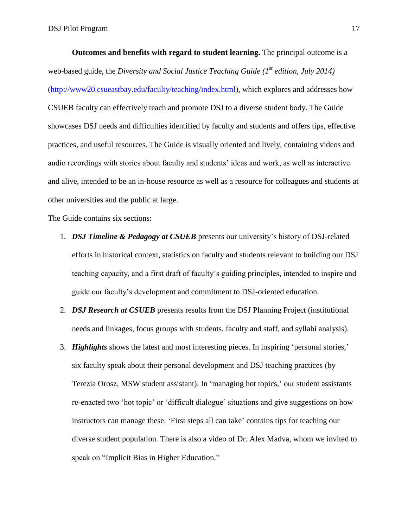**Outcomes and benefits with regard to student learning.** The principal outcome is a web-based guide, the *Diversity and Social Justice Teaching Guide (1st edition, July 2014)* [\(http://www20.csueastbay.edu/faculty/teaching/index.html\)](http://www20.csueastbay.edu/faculty/teaching/index.html)*,* which explores and addresses how CSUEB faculty can effectively teach and promote DSJ to a diverse student body. The Guide showcases DSJ needs and difficulties identified by faculty and students and offers tips, effective practices, and useful resources. The Guide is visually oriented and lively, containing videos and audio recordings with stories about faculty and students' ideas and work, as well as interactive and alive, intended to be an in-house resource as well as a resource for colleagues and students at other universities and the public at large.

The Guide contains six sections:

- 1. *DSJ Timeline & Pedagogy at CSUEB* presents our university's history of DSJ-related efforts in historical context, statistics on faculty and students relevant to building our DSJ teaching capacity, and a first draft of faculty's guiding principles, intended to inspire and guide our faculty's development and commitment to DSJ-oriented education.
- 2. *DSJ Research at CSUEB* presents results from the DSJ Planning Project (institutional needs and linkages, focus groups with students, faculty and staff, and syllabi analysis).
- 3. *Highlights* shows the latest and most interesting pieces. In inspiring 'personal stories,' six faculty speak about their personal development and DSJ teaching practices (by Terezia Orosz, MSW student assistant). In 'managing hot topics,' our student assistants re-enacted two 'hot topic' or 'difficult dialogue' situations and give suggestions on how instructors can manage these. 'First steps all can take' contains tips for teaching our diverse student population. There is also a video of Dr. Alex Madva, whom we invited to speak on "Implicit Bias in Higher Education."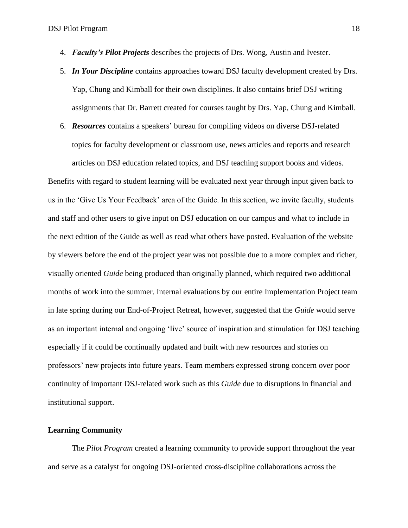- 4. *Faculty's Pilot Projects* describes the projects of Drs. Wong, Austin and Ivester.
- 5. *In Your Discipline* contains approaches toward DSJ faculty development created by Drs. Yap, Chung and Kimball for their own disciplines. It also contains brief DSJ writing assignments that Dr. Barrett created for courses taught by Drs. Yap, Chung and Kimball.
- 6. *Resources* contains a speakers' bureau for compiling videos on diverse DSJ-related topics for faculty development or classroom use, news articles and reports and research articles on DSJ education related topics, and DSJ teaching support books and videos.

Benefits with regard to student learning will be evaluated next year through input given back to us in the 'Give Us Your Feedback' area of the Guide. In this section, we invite faculty, students and staff and other users to give input on DSJ education on our campus and what to include in the next edition of the Guide as well as read what others have posted. Evaluation of the website by viewers before the end of the project year was not possible due to a more complex and richer, visually oriented *Guide* being produced than originally planned, which required two additional months of work into the summer. Internal evaluations by our entire Implementation Project team in late spring during our End-of-Project Retreat, however, suggested that the *Guide* would serve as an important internal and ongoing 'live' source of inspiration and stimulation for DSJ teaching especially if it could be continually updated and built with new resources and stories on professors' new projects into future years. Team members expressed strong concern over poor continuity of important DSJ-related work such as this *Guide* due to disruptions in financial and institutional support.

# **Learning Community**

The *Pilot Program* created a learning community to provide support throughout the year and serve as a catalyst for ongoing DSJ-oriented cross-discipline collaborations across the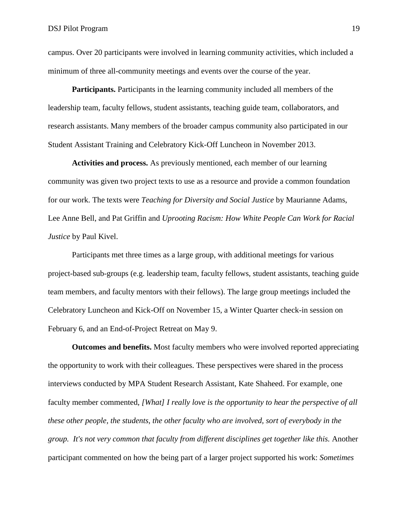campus. Over 20 participants were involved in learning community activities, which included a minimum of three all-community meetings and events over the course of the year.

**Participants.** Participants in the learning community included all members of the leadership team, faculty fellows, student assistants, teaching guide team, collaborators, and research assistants. Many members of the broader campus community also participated in our Student Assistant Training and Celebratory Kick-Off Luncheon in November 2013.

**Activities and process.** As previously mentioned, each member of our learning community was given two project texts to use as a resource and provide a common foundation for our work. The texts were *Teaching for Diversity and Social Justice* by Maurianne Adams, Lee Anne Bell, and Pat Griffin and *Uprooting Racism: How White People Can Work for Racial Justice* by Paul Kivel.

Participants met three times as a large group, with additional meetings for various project-based sub-groups (e.g. leadership team, faculty fellows, student assistants, teaching guide team members, and faculty mentors with their fellows). The large group meetings included the Celebratory Luncheon and Kick-Off on November 15, a Winter Quarter check-in session on February 6, and an End-of-Project Retreat on May 9.

**Outcomes and benefits.** Most faculty members who were involved reported appreciating the opportunity to work with their colleagues. These perspectives were shared in the process interviews conducted by MPA Student Research Assistant, Kate Shaheed. For example, one faculty member commented, *[What] I really love is the opportunity to hear the perspective of all these other people, the students, the other faculty who are involved, sort of everybody in the group. It's not very common that faculty from different disciplines get together like this.* Another participant commented on how the being part of a larger project supported his work: *Sometimes*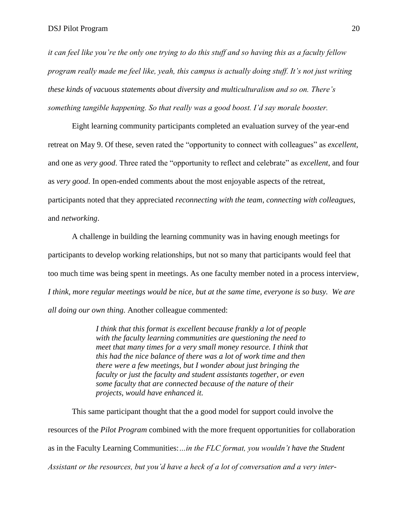*it can feel like you're the only one trying to do this stuff and so having this as a faculty fellow program really made me feel like, yeah, this campus is actually doing stuff. It's not just writing these kinds of vacuous statements about diversity and multiculturalism and so on. There's something tangible happening. So that really was a good boost. I'd say morale booster.*

Eight learning community participants completed an evaluation survey of the year-end retreat on May 9. Of these, seven rated the "opportunity to connect with colleagues" as *excellent*, and one as *very good*. Three rated the "opportunity to reflect and celebrate" as *excellent*, and four as *very good*. In open-ended comments about the most enjoyable aspects of the retreat, participants noted that they appreciated *reconnecting with the team*, *connecting with colleagues*, and *networking*.

A challenge in building the learning community was in having enough meetings for participants to develop working relationships, but not so many that participants would feel that too much time was being spent in meetings. As one faculty member noted in a process interview, *I think, more regular meetings would be nice, but at the same time, everyone is so busy. We are all doing our own thing.* Another colleague commented:

> *I think that this format is excellent because frankly a lot of people with the faculty learning communities are questioning the need to meet that many times for a very small money resource. I think that this had the nice balance of there was a lot of work time and then there were a few meetings, but I wonder about just bringing the faculty or just the faculty and student assistants together, or even some faculty that are connected because of the nature of their projects, would have enhanced it.*

This same participant thought that the a good model for support could involve the resources of the *Pilot Program* combined with the more frequent opportunities for collaboration as in the Faculty Learning Communities:*…in the FLC format, you wouldn't have the Student Assistant or the resources, but you'd have a heck of a lot of conversation and a very inter-*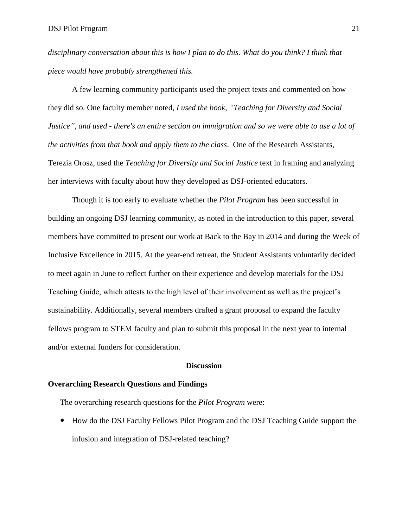*disciplinary conversation about this is how I plan to do this. What do you think? I think that piece would have probably strengthened this.*

A few learning community participants used the project texts and commented on how they did so. One faculty member noted, *I used the book, "Teaching for Diversity and Social Justice", and used - there's an entire section on immigration and so we were able to use a lot of the activities from that book and apply them to the class*. One of the Research Assistants, Terezia Orosz, used the *Teaching for Diversity and Social Justice* text in framing and analyzing her interviews with faculty about how they developed as DSJ-oriented educators.

Though it is too early to evaluate whether the *Pilot Program* has been successful in building an ongoing DSJ learning community, as noted in the introduction to this paper, several members have committed to present our work at Back to the Bay in 2014 and during the Week of Inclusive Excellence in 2015. At the year-end retreat, the Student Assistants voluntarily decided to meet again in June to reflect further on their experience and develop materials for the DSJ Teaching Guide, which attests to the high level of their involvement as well as the project's sustainability. Additionally, several members drafted a grant proposal to expand the faculty fellows program to STEM faculty and plan to submit this proposal in the next year to internal and/or external funders for consideration.

## **Discussion**

## **Overarching Research Questions and Findings**

The overarching research questions for the *Pilot Program* were:

 How do the DSJ Faculty Fellows Pilot Program and the DSJ Teaching Guide support the infusion and integration of DSJ-related teaching?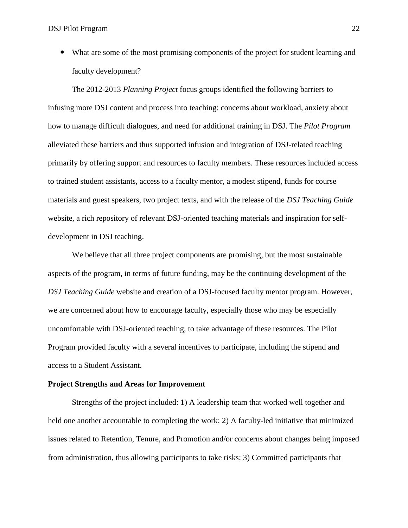What are some of the most promising components of the project for student learning and faculty development?

The 2012-2013 *Planning Project* focus groups identified the following barriers to infusing more DSJ content and process into teaching: concerns about workload, anxiety about how to manage difficult dialogues, and need for additional training in DSJ. The *Pilot Program* alleviated these barriers and thus supported infusion and integration of DSJ-related teaching primarily by offering support and resources to faculty members. These resources included access to trained student assistants, access to a faculty mentor, a modest stipend, funds for course materials and guest speakers, two project texts, and with the release of the *DSJ Teaching Guide* website, a rich repository of relevant DSJ-oriented teaching materials and inspiration for selfdevelopment in DSJ teaching.

We believe that all three project components are promising, but the most sustainable aspects of the program, in terms of future funding, may be the continuing development of the *DSJ Teaching Guide* website and creation of a DSJ-focused faculty mentor program. However, we are concerned about how to encourage faculty, especially those who may be especially uncomfortable with DSJ-oriented teaching, to take advantage of these resources. The Pilot Program provided faculty with a several incentives to participate, including the stipend and access to a Student Assistant.

# **Project Strengths and Areas for Improvement**

Strengths of the project included: 1) A leadership team that worked well together and held one another accountable to completing the work; 2) A faculty-led initiative that minimized issues related to Retention, Tenure, and Promotion and/or concerns about changes being imposed from administration, thus allowing participants to take risks; 3) Committed participants that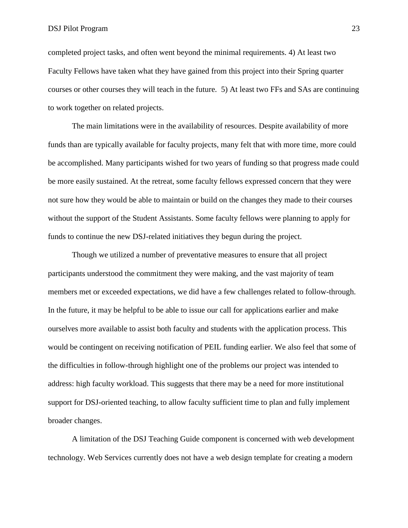completed project tasks, and often went beyond the minimal requirements. 4) At least two Faculty Fellows have taken what they have gained from this project into their Spring quarter courses or other courses they will teach in the future. 5) At least two FFs and SAs are continuing to work together on related projects.

The main limitations were in the availability of resources. Despite availability of more funds than are typically available for faculty projects, many felt that with more time, more could be accomplished. Many participants wished for two years of funding so that progress made could be more easily sustained. At the retreat, some faculty fellows expressed concern that they were not sure how they would be able to maintain or build on the changes they made to their courses without the support of the Student Assistants. Some faculty fellows were planning to apply for funds to continue the new DSJ-related initiatives they begun during the project.

Though we utilized a number of preventative measures to ensure that all project participants understood the commitment they were making, and the vast majority of team members met or exceeded expectations, we did have a few challenges related to follow-through. In the future, it may be helpful to be able to issue our call for applications earlier and make ourselves more available to assist both faculty and students with the application process. This would be contingent on receiving notification of PEIL funding earlier. We also feel that some of the difficulties in follow-through highlight one of the problems our project was intended to address: high faculty workload. This suggests that there may be a need for more institutional support for DSJ-oriented teaching, to allow faculty sufficient time to plan and fully implement broader changes.

A limitation of the DSJ Teaching Guide component is concerned with web development technology. Web Services currently does not have a web design template for creating a modern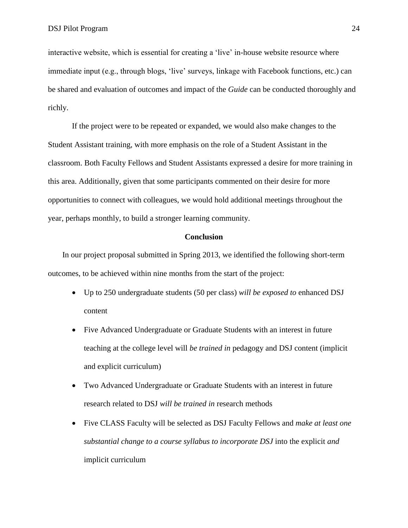interactive website, which is essential for creating a 'live' in-house website resource where immediate input (e.g., through blogs, 'live' surveys, linkage with Facebook functions, etc.) can be shared and evaluation of outcomes and impact of the *Guide* can be conducted thoroughly and richly.

If the project were to be repeated or expanded, we would also make changes to the Student Assistant training, with more emphasis on the role of a Student Assistant in the classroom. Both Faculty Fellows and Student Assistants expressed a desire for more training in this area. Additionally, given that some participants commented on their desire for more opportunities to connect with colleagues, we would hold additional meetings throughout the year, perhaps monthly, to build a stronger learning community.

### **Conclusion**

In our project proposal submitted in Spring 2013, we identified the following short-term outcomes, to be achieved within nine months from the start of the project:

- Up to 250 undergraduate students (50 per class) *will be exposed to* enhanced DSJ content
- Five Advanced Undergraduate or Graduate Students with an interest in future teaching at the college level will *be trained in* pedagogy and DSJ content (implicit and explicit curriculum)
- Two Advanced Undergraduate or Graduate Students with an interest in future research related to DSJ *will be trained in* research methods
- Five CLASS Faculty will be selected as DSJ Faculty Fellows and *make at least one substantial change to a course syllabus to incorporate DSJ* into the explicit *and*  implicit curriculum